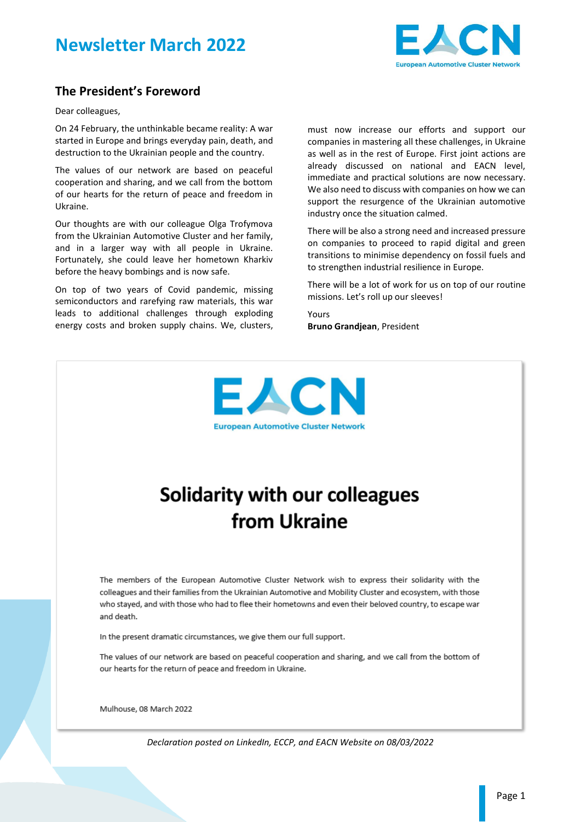



### **The President's Foreword**

Dear colleagues,

On 24 February, the unthinkable became reality: A war started in Europe and brings everyday pain, death, and destruction to the Ukrainian people and the country.

The values of our network are based on peaceful cooperation and sharing, and we call from the bottom of our hearts for the return of peace and freedom in Ukraine.

Our thoughts are with our colleague Olga Trofymova from the Ukrainian Automotive Cluster and her family, and in a larger way with all people in Ukraine. Fortunately, she could leave her hometown Kharkiv before the heavy bombings and is now safe.

On top of two years of Covid pandemic, missing semiconductors and rarefying raw materials, this war leads to additional challenges through exploding energy costs and broken supply chains. We, clusters, must now increase our efforts and support our companies in mastering all these challenges, in Ukraine as well as in the rest of Europe. First joint actions are already discussed on national and EACN level, immediate and practical solutions are now necessary. We also need to discuss with companies on how we can support the resurgence of the Ukrainian automotive industry once the situation calmed.

There will be also a strong need and increased pressure on companies to proceed to rapid digital and green transitions to minimise dependency on fossil fuels and to strengthen industrial resilience in Europe.

There will be a lot of work for us on top of our routine missions. Let's roll up our sleeves!

Yours **Bruno Grandjean**, President



# **Solidarity with our colleagues** from Ukraine

The members of the European Automotive Cluster Network wish to express their solidarity with the colleagues and their families from the Ukrainian Automotive and Mobility Cluster and ecosystem, with those who stayed, and with those who had to flee their hometowns and even their beloved country, to escape war and death.

In the present dramatic circumstances, we give them our full support.

The values of our network are based on peaceful cooperation and sharing, and we call from the bottom of our hearts for the return of peace and freedom in Ukraine.

Mulhouse, 08 March 2022

*Declaration posted on LinkedIn, ECCP, and EACN Website on 08/03/2022*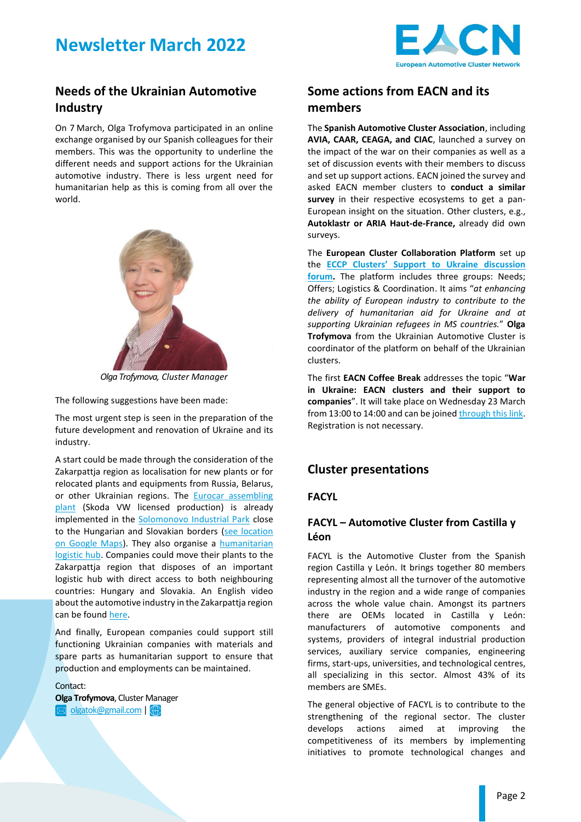

### **Needs of the Ukrainian Automotive Industry**

On 7 March, Olga Trofymova participated in an online exchange organised by our Spanish colleagues for their members. This was the opportunity to underline the different needs and support actions for the Ukrainian automotive industry. There is less urgent need for humanitarian help as this is coming from all over the world.



*Olga Trofymova, Cluster Manager*

The following suggestions have been made:

The most urgent step is seen in the preparation of the future development and renovation of Ukraine and its industry.

A start could be made through the consideration of the Zakarpattja region as localisation for new plants or for relocated plants and equipments from Russia, Belarus, or other Ukrainian regions. The Eurocar assembling [plant](https://www.eacn-initiative.eu/wp-content/uploads/2022/03/NL03-2022_EUROCAR2021.pdf) (Skoda VW licensed production) is already implemented in the [Solomonovo Industrial Park](https://www.eacn-initiative.eu/wp-content/uploads/2022/03/Solomonovo-industrial-park-presentation.pdf) close to the Hungarian and Slovakian borders [\(see location](https://www.google.fr/maps/place/the+Eurocar+Ukraine/@48.4293372,22.1217238,13.21z/data=!4m12!1m6!3m5!1s0x4738e146ba9d979b:0x2676ada0f9c171e!2sthe+Eurocar+Ukraine!8m2!3d48.4380683!4d22.1755428!3m4!1s0x4738e146ba9d979b:0x2676ada0f9c171e!8m2!3d48.4380683!4d22.1755428)  [on Google Maps\)](https://www.google.fr/maps/place/the+Eurocar+Ukraine/@48.4293372,22.1217238,13.21z/data=!4m12!1m6!3m5!1s0x4738e146ba9d979b:0x2676ada0f9c171e!2sthe+Eurocar+Ukraine!8m2!3d48.4380683!4d22.1755428!3m4!1s0x4738e146ba9d979b:0x2676ada0f9c171e!8m2!3d48.4380683!4d22.1755428). They also organise a [humanitarian](https://openmind.fund/)  [logistic hub.](https://openmind.fund/) Companies could move their plants to the Zakarpattja region that disposes of an important logistic hub with direct access to both neighbouring countries: Hungary and Slovakia. An English video about the automotive industry in the Zakarpattja region can be found [here.](https://www.youtube.com/watch?v=OM4EkANGv3U&t=1s)

And finally, European companies could support still functioning Ukrainian companies with materials and spare parts as humanitarian support to ensure that production and employments can be maintained.

Contact:

**Olga Trofymova**, Cluster Manager olgatok@gmail.com |

### **Some actions from EACN and its members**

The **Spanish Automotive Cluster Association**, including **AVIA, CAAR, CEAGA, and CIAC**, launched a survey on the impact of the war on their companies as well as a set of discussion events with their members to discuss and set up support actions. EACN joined the survey and asked EACN member clusters to **conduct a similar survey** in their respective ecosystems to get a pan-European insight on the situation. Other clusters, e.g., **Autoklastr or ARIA Haut-de-France,** already did own surveys.

The **European Cluster Collaboration Platform** set up the **[ECCP Clusters' Support to Ukraine dis](https://clustercollaboration.eu/discussion-forum/groups/helping_ukraine)cussion [forum.](https://clustercollaboration.eu/discussion-forum/groups/helping_ukraine)** The platform includes three groups: Needs; Offers; Logistics & Coordination. It aims "*at enhancing the ability of European industry to contribute to the delivery of humanitarian aid for Ukraine and at supporting Ukrainian refugees in MS countries.*" **Olga Trofymova** from the Ukrainian Automotive Cluster is coordinator of the platform on behalf of the Ukrainian clusters.

The first **EACN Coffee Break** addresses the topic "**War in Ukraine: EACN clusters and their support to companies**". It will take place on Wednesday 23 March from 13:00 to 14:00 and can be joine[d through this link.](https://teams.microsoft.com/l/meetup-join/19%3ameeting_YmEwMWI5YzUtZGEzNy00ZGU5LWJmZDEtMjhhOGUzODk1MjJh%40thread.v2/0?context=%7b%22Tid%22%3a%22f57fb2cd-d5a1-4859-a791-c70550c89341%22%2c%22Oid%22%3a%22299cd8c2-29e3-477e-8420-e6f53f1791fb%22%7d) Registration is not necessary.

### **Cluster presentations**

#### **FACYL**

### **FACYL – Automotive Cluster from Castilla y Léon**

FACYL is the Automotive Cluster from the Spanish region Castilla y León. It brings together 80 members representing almost all the turnover of the automotive industry in the region and a wide range of companies across the whole value chain. Amongst its partners there are OEMs located in Castilla y León: manufacturers of automotive components and systems, providers of integral industrial production services, auxiliary service companies, engineering firms, start-ups, universities, and technological centres, all specializing in this sector. Almost 43% of its members are SMEs.

The general objective of FACYL is to contribute to the strengthening of the regional sector. The cluster develops actions aimed at improving the competitiveness of its members by implementing initiatives to promote technological changes and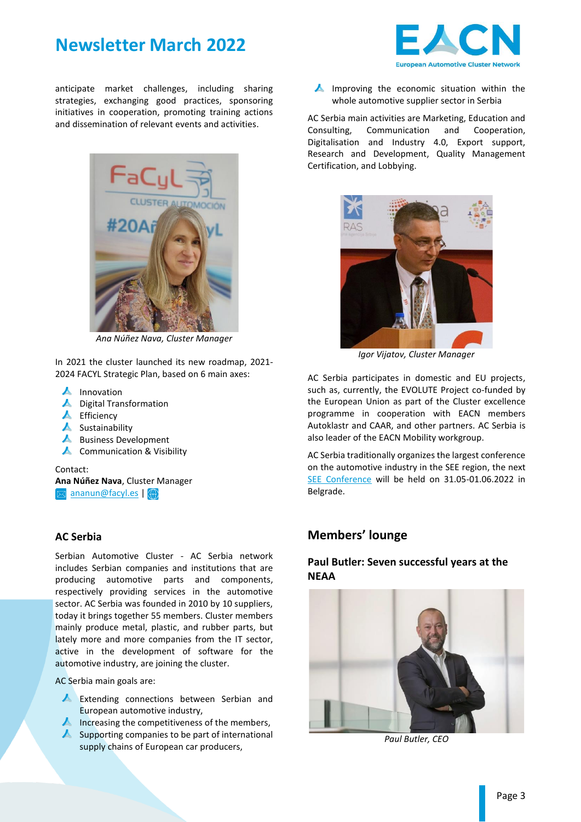

anticipate market challenges, including sharing strategies, exchanging good practices, sponsoring initiatives in cooperation, promoting training actions and dissemination of relevant events and activities.



*Ana Núñez Nava, Cluster Manager*

In 2021 the cluster launched its new roadmap, 2021- 2024 FACYL Strategic Plan, based on 6 main axes:

- $\blacktriangle$  Innovation
- **A** Digital Transformation
- $\blacktriangle$  Efficiency
- $\blacktriangle$  Sustainability
- **A** Business Development
- ▲ Communication & Visibility

#### Contact:

**Ana Núñez Nava**, Cluster Manager

 $\boxtimes$  [ananun@facyl.es](mailto:ananun@facyl.es)|

#### **AC Serbia**

Serbian Automotive Cluster - AC Serbia network includes Serbian companies and institutions that are producing automotive parts and components, respectively providing services in the automotive sector. AC Serbia was founded in 2010 by 10 suppliers, today it brings together 55 members. Cluster members mainly produce metal, plastic, and rubber parts, but lately more and more companies from the IT sector, active in the development of software for the automotive industry, are joining the cluster.

AC Serbia main goals are:

- **A** Extending connections between Serbian and European automotive industry,
- Increasing the competitiveness of the members,
- $\blacktriangle$  Supporting companies to be part of international supply chains of European car producers,



 $\blacktriangle$  Improving the economic situation within the whole automotive supplier sector in Serbia

AC Serbia main activities are Marketing, Education and Consulting, Communication and Cooperation, Digitalisation and Industry 4.0, Export support, Research and Development, Quality Management Certification, and Lobbying.



*Igor Vijatov, Cluster Manager*

AC Serbia participates in domestic and EU projects, such as, currently, the EVOLUTE Project co-funded by the European Union as part of the Cluster excellence programme in cooperation with EACN members Autoklastr and CAAR, and other partners. AC Serbia is also leader of the EACN Mobility workgroup.

AC Serbia traditionally organizes the largest conference on the automotive industry in the SEE region, the next [SEE Conference](http://www.seeautomotive.com/) will be held on 31.05-01.06.2022 in Belgrade.

#### **Members' lounge**

#### **Paul Butler: Seven successful years at the NEAA**



*Paul Butler, CEO*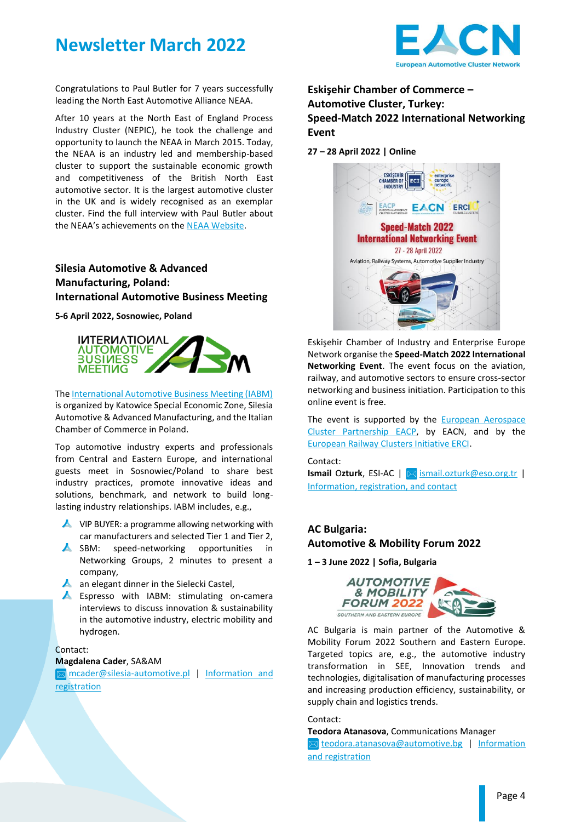



Congratulations to Paul Butler for 7 years successfully leading the North East Automotive Alliance NEAA.

After 10 years at the North East of England Process Industry Cluster (NEPIC), he took the challenge and opportunity to launch the NEAA in March 2015. Today, the NEAA is an industry led and membership-based cluster to support the sustainable economic growth and competitiveness of the British North East automotive sector. It is the largest automotive cluster in the UK and is widely recognised as an exemplar cluster. Find the full interview with Paul Butler about the NEAA's achievements on th[e NEAA Website.](https://northeastautomotivealliance.com/seven-years-at-neaa-ceo-talks-about-the-alliances-achievements/)

### **Silesia Automotive & Advanced Manufacturing, Poland: International Automotive Business Meeting**

**5-6 April 2022, Sosnowiec, Poland**



The [International Automotive Business Meeting \(IABM\)](http://www.iabmevent.com/) is organized by Katowice Special Economic Zone, Silesia Automotive & Advanced Manufacturing, and the Italian Chamber of Commerce in Poland.

Top automotive industry experts and professionals from Central and Eastern Europe, and international guests meet in Sosnowiec/Poland to share best industry practices, promote innovative ideas and solutions, benchmark, and network to build longlasting industry relationships. IABM includes, e.g.,

- ▲ VIP BUYER: a programme allowing networking with car manufacturers and selected Tier 1 and Tier 2,
- SBM: speed-networking opportunities in Networking Groups, 2 minutes to present a company,
- $\blacktriangle$  an elegant dinner in the Sielecki Castel.
- **A** Espresso with IABM: stimulating on-camera interviews to discuss innovation & sustainability in the automotive industry, electric mobility and hydrogen.

Contact:

#### **Magdalena Cader**, SA&AM

**M** [mcader@silesia-automotive.pl](mailto:mcader@silesia-automotive.pl) | Information and [registration](http://www.iabmevent.com/)

**Eskişehir Chamber of Commerce – Automotive Cluster, Turkey: Speed-Match 2022 International Networking Event**

#### **27 – 28 April 2022 | Online**



Eskişehir Chamber of Industry and Enterprise Europe Network organise the **Speed-Match 2022 International Networking Event**. The event focus on the aviation, railway, and automotive sectors to ensure cross-sector networking and business initiation. Participation to this online event is free.

The event is supported by the **European Aerospace** [Cluster Partnership EACP,](https://www.eacp-aero.eu/) by EACN, and by the [European Railway Clusters Initiative ERCI.](https://eurailclusters.com/)

Contact: **Ismail Ozturk**, ESI-AC |  $\boxed{\boxtimes}$  [ismail.ozturk@eso.org.tr](mailto:ismail.ozturk@eso.org.tr) | [Information, registration, and contact](https://speedmatch2022.b2match.io/)

### **AC Bulgaria: Automotive & Mobility Forum 2022**

**1 – 3 June 2022 | Sofia, Bulgaria**



AC Bulgaria is main partner of the Automotive & Mobility Forum 2022 Southern and Eastern Europe. Targeted topics are, e.g., the automotive industry transformation in SEE, Innovation trends and technologies, digitalisation of manufacturing processes and increasing production efficiency, sustainability, or supply chain and logistics trends.

#### Contact:

**Teodora Atanasova**, Communications Manager ⊠ [teodora.atanasova@automotive.bg](mailto:teodora.atanasova@automotive.bg) | Information [and registration](https://www.automotive-mobility-forum.com/)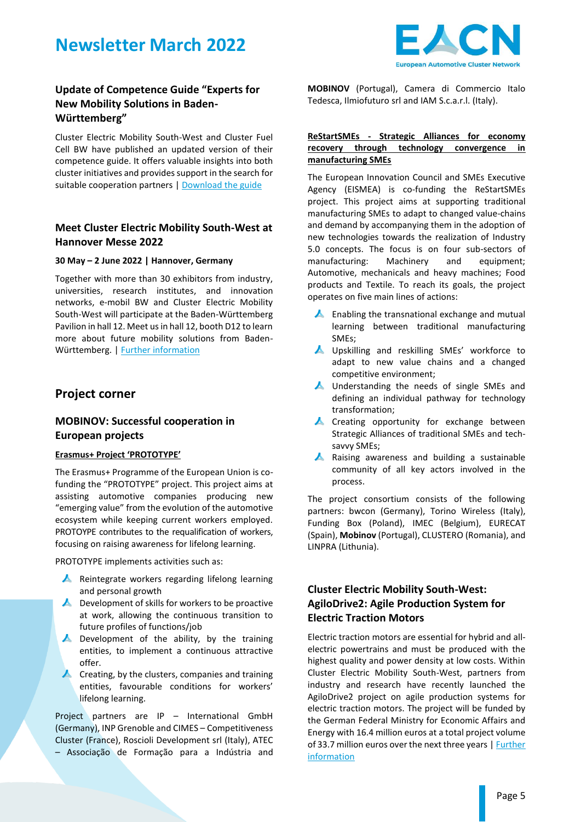



### **Update of Competence Guide "Experts for New Mobility Solutions in Baden-Württemberg"**

Cluster Electric Mobility South-West and Cluster Fuel Cell BW have published an updated version of their competence guide. It offers valuable insights into both cluster initiatives and provides support in the search for suitable cooperation partners | [Download](https://www.e-mobilbw.de/fileadmin/media/e-mobilbw/Englische_Publikationen/Competence_Guide_Experts_for_New_Mobility_Solutions_in_Baden-Wuerttemberg.pdf) the guide

### **Meet Cluster Electric Mobility South-West at Hannover Messe 2022**

#### **30 May – 2 June 2022 | Hannover, Germany**

Together with more than 30 exhibitors from industry, universities, research institutes, and innovation networks, e-mobil BW and Cluster Electric Mobility South-West will participate at the Baden-Württemberg Pavilion in hall 12. Meet us in hall 12, booth D12 to learn more about future mobility solutions from Baden-Württemberg. | [Further information](https://www.e-mobilbw.de/service/termin-detail/baden-wuerttemberg-pavillon-auf-der-hannover-messe)

#### **Project corner**

#### **MOBINOV: Successful cooperation in European projects**

#### **Erasmus+ Project 'PROTOTYPE'**

The Erasmus+ Programme of the European Union is cofunding the "PROTOTYPE" project. This project aims at assisting automotive companies producing new "emerging value" from the evolution of the automotive ecosystem while keeping current workers employed. PROTOYPE contributes to the requalification of workers, focusing on raising awareness for lifelong learning.

PROTOTYPE implements activities such as:

- A Reintegrate workers regarding lifelong learning and personal growth
- $\blacktriangle$  Development of skills for workers to be proactive at work, allowing the continuous transition to future profiles of functions/job
- $\blacktriangle$  Development of the ability, by the training entities, to implement a continuous attractive offer.
- $\blacktriangle$  Creating, by the clusters, companies and training entities, favourable conditions for workers' lifelong learning.

Project partners are IP – International GmbH (Germany), INP Grenoble and CIMES – Competitiveness Cluster (France), Roscioli Development srl (Italy), ATEC – Associação de Formação para a Indústria and **MOBINOV** (Portugal), Camera di Commercio Italo Tedesca, Ilmiofuturo srl and IAM S.c.a.r.l. (Italy).

#### **ReStartSMEs - Strategic Alliances for economy recovery through technology convergence in manufacturing SMEs**

The European Innovation Council and SMEs Executive Agency (EISMEA) is co-funding the ReStartSMEs project. This project aims at supporting traditional manufacturing SMEs to adapt to changed value-chains and demand by accompanying them in the adoption of new technologies towards the realization of Industry 5.0 concepts. The focus is on four sub-sectors of manufacturing: Machinery and equipment; Automotive, mechanicals and heavy machines; Food products and Textile. To reach its goals, the project operates on five main lines of actions:

- $\blacktriangle$  Enabling the transnational exchange and mutual learning between traditional manufacturing SMEs;
- **A** Upskilling and reskilling SMEs' workforce to adapt to new value chains and a changed competitive environment;
- ▲ Understanding the needs of single SMEs and defining an individual pathway for technology transformation;
- **A** Creating opportunity for exchange between Strategic Alliances of traditional SMEs and techsavvy SMEs;
- **A** Raising awareness and building a sustainable community of all key actors involved in the process.

The project consortium consists of the following partners: bwcon (Germany), Torino Wireless (Italy), Funding Box (Poland), IMEC (Belgium), EURECAT (Spain), **Mobinov** (Portugal), CLUSTERO (Romania), and LINPRA (Lithunia).

#### **Cluster Electric Mobility South-West: AgiloDrive2: Agile Production System for Electric Traction Motors**

Electric traction motors are essential for hybrid and allelectric powertrains and must be produced with the highest quality and power density at low costs. Within Cluster Electric Mobility South-West, partners from industry and research have recently launched the AgiloDrive2 project on agile production systems for electric traction motors. The project will be funded by the German Federal Ministry for Economic Affairs and Energy with 16.4 million euros at a total project volume of 33.7 million euros over the next three years | Further [information](https://www.emobil-sw.de/en/aktivitaeten/projekte/projekte-im-innovationsfeld-produktion/agilodrive2)